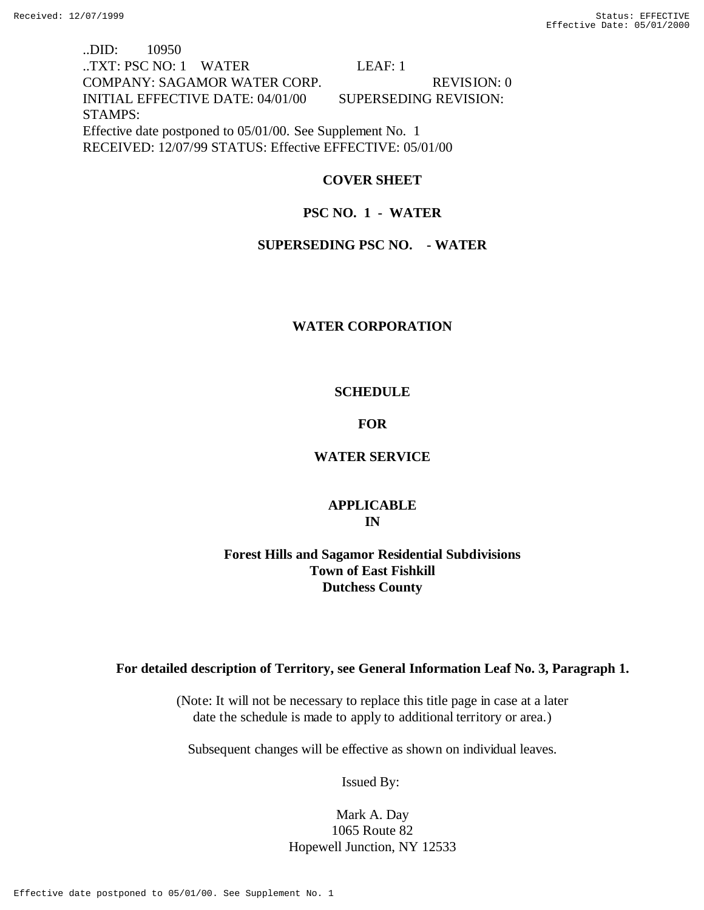..DID: 10950 ..TXT: PSC NO: 1 WATER LEAF: 1 COMPANY: SAGAMOR WATER CORP. REVISION: 0 INITIAL EFFECTIVE DATE: 04/01/00 SUPERSEDING REVISION: STAMPS: Effective date postponed to 05/01/00. See Supplement No. 1 RECEIVED: 12/07/99 STATUS: Effective EFFECTIVE: 05/01/00

# **COVER SHEET**

# **PSC NO. 1 - WATER**

## **SUPERSEDING PSC NO. - WATER**

## **WATER CORPORATION**

# **SCHEDULE**

## **FOR**

# **WATER SERVICE**

# **APPLICABLE IN**

# **Forest Hills and Sagamor Residential Subdivisions Town of East Fishkill Dutchess County**

# **For detailed description of Territory, see General Information Leaf No. 3, Paragraph 1.**

(Note: It will not be necessary to replace this title page in case at a later date the schedule is made to apply to additional territory or area.)

Subsequent changes will be effective as shown on individual leaves.

Issued By:

Mark A. Day 1065 Route 82 Hopewell Junction, NY 12533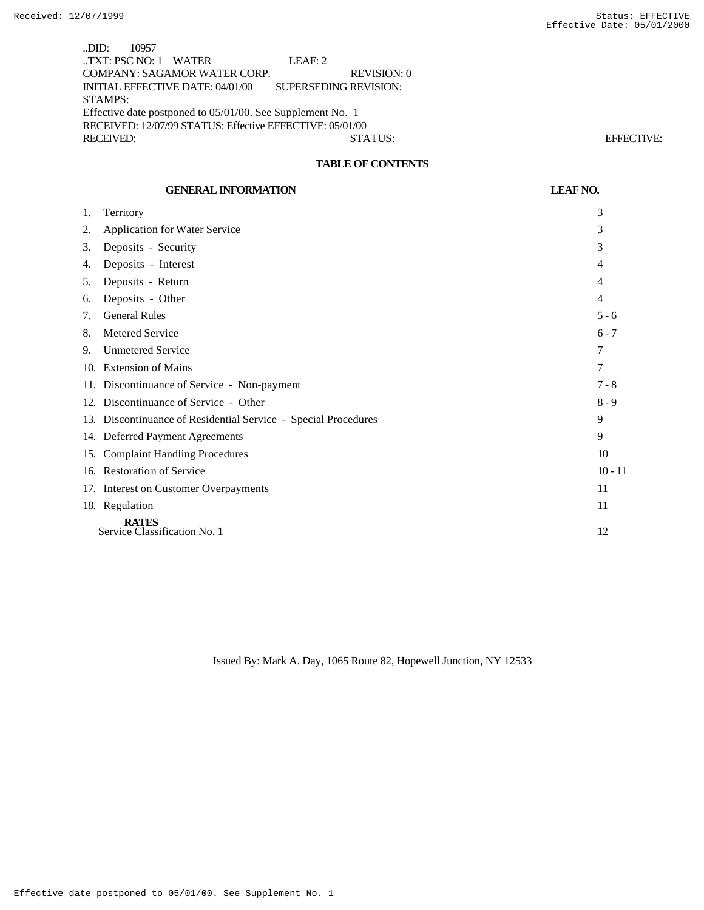..DID: 10957 ..TXT: PSC NO: 1 WATER LEAF: 2 COMPANY: SAGAMOR WATER CORP. REVISION: 0 INITIAL EFFECTIVE DATE: 04/01/00 SUPERSEDING REVISION: STAMPS: Effective date postponed to 05/01/00. See Supplement No. 1 RECEIVED: 12/07/99 STATUS: Effective EFFECTIVE: 05/01/00 RECEIVED: STATUS: EFFECTIVE:

## **TABLE OF CONTENTS**

|     | <b>GENERAL INFORMATION</b>                                     | <b>LEAF NO.</b> |
|-----|----------------------------------------------------------------|-----------------|
| 1.  | Territory                                                      | 3               |
| 2.  | <b>Application for Water Service</b>                           | 3               |
| 3.  | Deposits - Security                                            | 3               |
| 4.  | Deposits - Interest                                            | 4               |
| 5.  | Deposits - Return                                              | 4               |
| 6.  | Deposits - Other                                               | 4               |
| 7.  | <b>General Rules</b>                                           | $5 - 6$         |
| 8.  | Metered Service                                                | $6 - 7$         |
| 9.  | <b>Unmetered Service</b>                                       | 7               |
|     | 10. Extension of Mains                                         | 7               |
|     | 11. Discontinuance of Service - Non-payment                    | $7 - 8$         |
|     | 12. Discontinuance of Service - Other                          | $8 - 9$         |
|     | 13. Discontinuance of Residential Service - Special Procedures | 9               |
|     | 14. Deferred Payment Agreements                                | 9               |
| 15. | <b>Complaint Handling Procedures</b>                           | 10              |
|     | 16. Restoration of Service                                     | $10 - 11$       |
|     | 17. Interest on Customer Overpayments                          | 11              |
|     | 18. Regulation                                                 | 11              |
|     | <b>RATES</b><br>Service Classification No. 1                   | 12              |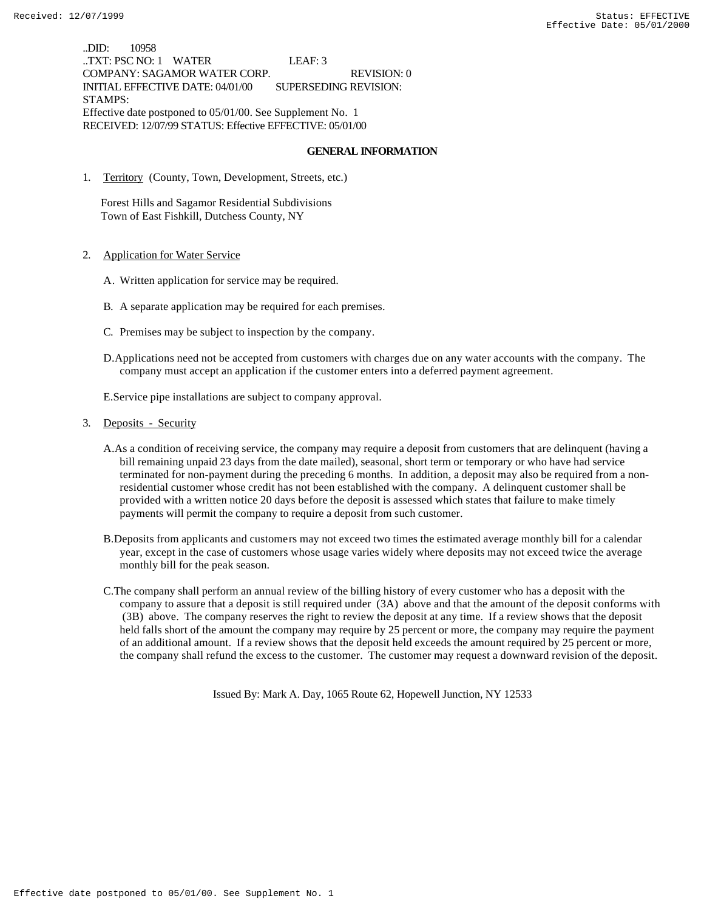..DID: 10958 ..TXT: PSC NO: 1 WATER LEAF: 3 COMPANY: SAGAMOR WATER CORP. REVISION: 0 INITIAL EFFECTIVE DATE: 04/01/00 SUPERSEDING REVISION: STAMPS: Effective date postponed to 05/01/00. See Supplement No. 1 RECEIVED: 12/07/99 STATUS: Effective EFFECTIVE: 05/01/00

#### **GENERAL INFORMATION**

1. Territory (County, Town, Development, Streets, etc.)

 Forest Hills and Sagamor Residential Subdivisions Town of East Fishkill, Dutchess County, NY

- 2. Application for Water Service
	- A. Written application for service may be required.
	- B. A separate application may be required for each premises.
	- C. Premises may be subject to inspection by the company.
	- D.Applications need not be accepted from customers with charges due on any water accounts with the company. The company must accept an application if the customer enters into a deferred payment agreement.

E.Service pipe installations are subject to company approval.

- 3. Deposits Security
	- A.As a condition of receiving service, the company may require a deposit from customers that are delinquent (having a bill remaining unpaid 23 days from the date mailed), seasonal, short term or temporary or who have had service terminated for non-payment during the preceding 6 months. In addition, a deposit may also be required from a nonresidential customer whose credit has not been established with the company. A delinquent customer shall be provided with a written notice 20 days before the deposit is assessed which states that failure to make timely payments will permit the company to require a deposit from such customer.
	- B.Deposits from applicants and customers may not exceed two times the estimated average monthly bill for a calendar year, except in the case of customers whose usage varies widely where deposits may not exceed twice the average monthly bill for the peak season.
	- C.The company shall perform an annual review of the billing history of every customer who has a deposit with the company to assure that a deposit is still required under (3A) above and that the amount of the deposit conforms with (3B) above. The company reserves the right to review the deposit at any time. If a review shows that the deposit held falls short of the amount the company may require by 25 percent or more, the company may require the payment of an additional amount. If a review shows that the deposit held exceeds the amount required by 25 percent or more, the company shall refund the excess to the customer. The customer may request a downward revision of the deposit.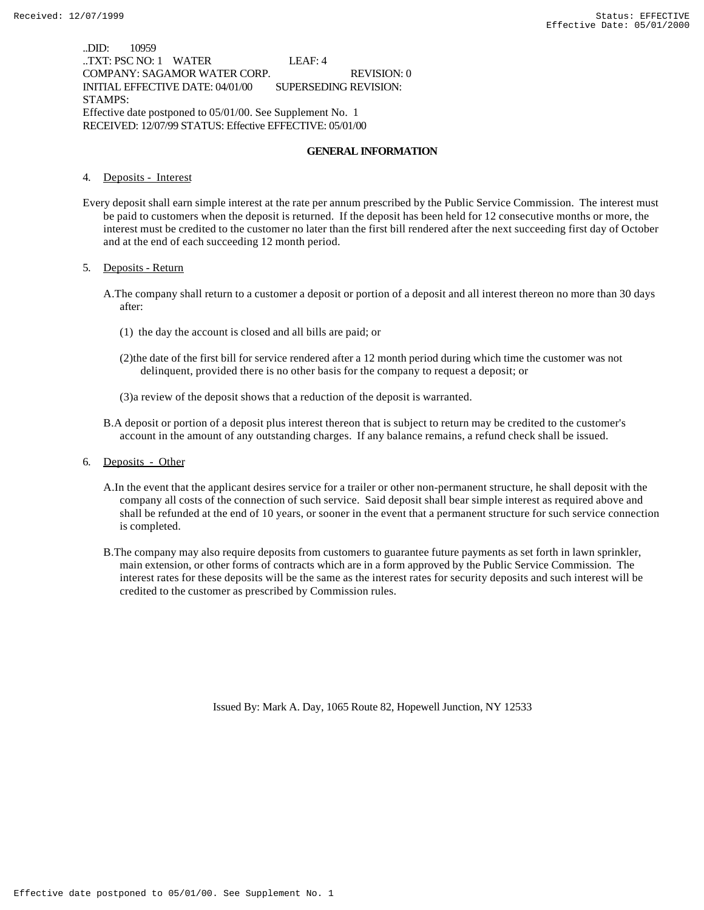..DID: 10959 ..TXT: PSC NO: 1 WATER LEAF: 4 COMPANY: SAGAMOR WATER CORP. REVISION: 0 INITIAL EFFECTIVE DATE: 04/01/00 SUPERSEDING REVISION: STAMPS: Effective date postponed to 05/01/00. See Supplement No. 1 RECEIVED: 12/07/99 STATUS: Effective EFFECTIVE: 05/01/00

### **GENERAL INFORMATION**

4. Deposits - Interest

Every deposit shall earn simple interest at the rate per annum prescribed by the Public Service Commission. The interest must be paid to customers when the deposit is returned. If the deposit has been held for 12 consecutive months or more, the interest must be credited to the customer no later than the first bill rendered after the next succeeding first day of October and at the end of each succeeding 12 month period.

5. Deposits - Return

- A.The company shall return to a customer a deposit or portion of a deposit and all interest thereon no more than 30 days after:
	- (1) the day the account is closed and all bills are paid; or
	- (2)the date of the first bill for service rendered after a 12 month period during which time the customer was not delinquent, provided there is no other basis for the company to request a deposit; or

(3)a review of the deposit shows that a reduction of the deposit is warranted.

- B.A deposit or portion of a deposit plus interest thereon that is subject to return may be credited to the customer's account in the amount of any outstanding charges. If any balance remains, a refund check shall be issued.
- 6. Deposits Other
	- A.In the event that the applicant desires service for a trailer or other non-permanent structure, he shall deposit with the company all costs of the connection of such service. Said deposit shall bear simple interest as required above and shall be refunded at the end of 10 years, or sooner in the event that a permanent structure for such service connection is completed.
	- B.The company may also require deposits from customers to guarantee future payments as set forth in lawn sprinkler, main extension, or other forms of contracts which are in a form approved by the Public Service Commission. The interest rates for these deposits will be the same as the interest rates for security deposits and such interest will be credited to the customer as prescribed by Commission rules.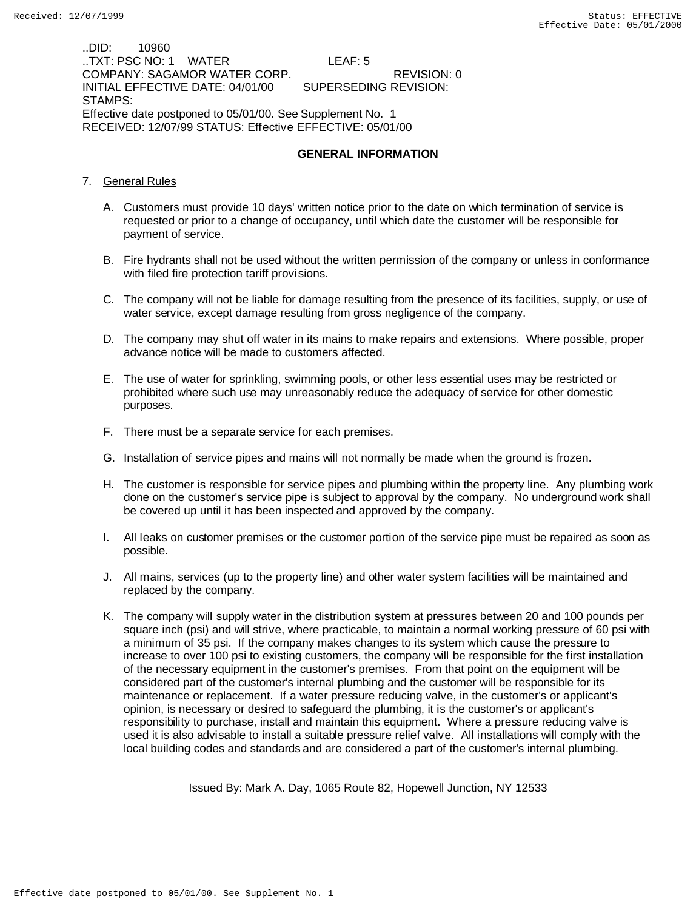..DID: 10960 ..TXT: PSC NO: 1 WATER LEAF: 5 COMPANY: SAGAMOR WATER CORP. REVISION: 0 INITIAL EFFECTIVE DATE: 04/01/00 STAMPS: Effective date postponed to 05/01/00. See Supplement No. 1 RECEIVED: 12/07/99 STATUS: Effective EFFECTIVE: 05/01/00

### **GENERAL INFORMATION**

- 7. General Rules
	- A. Customers must provide 10 days' written notice prior to the date on which termination of service is requested or prior to a change of occupancy, until which date the customer will be responsible for payment of service.
	- B. Fire hydrants shall not be used without the written permission of the company or unless in conformance with filed fire protection tariff provisions.
	- C. The company will not be liable for damage resulting from the presence of its facilities, supply, or use of water service, except damage resulting from gross negligence of the company.
	- D. The company may shut off water in its mains to make repairs and extensions. Where possible, proper advance notice will be made to customers affected.
	- E. The use of water for sprinkling, swimming pools, or other less essential uses may be restricted or prohibited where such use may unreasonably reduce the adequacy of service for other domestic purposes.
	- F. There must be a separate service for each premises.
	- G. Installation of service pipes and mains will not normally be made when the ground is frozen.
	- H. The customer is responsible for service pipes and plumbing within the property line. Any plumbing work done on the customer's service pipe is subject to approval by the company. No underground work shall be covered up until it has been inspected and approved by the company.
	- I. All leaks on customer premises or the customer portion of the service pipe must be repaired as soon as possible.
	- J. All mains, services (up to the property line) and other water system facilities will be maintained and replaced by the company.
	- K. The company will supply water in the distribution system at pressures between 20 and 100 pounds per square inch (psi) and will strive, where practicable, to maintain a normal working pressure of 60 psi with a minimum of 35 psi. If the company makes changes to its system which cause the pressure to increase to over 100 psi to existing customers, the company will be responsible for the first installation of the necessary equipment in the customer's premises. From that point on the equipment will be considered part of the customer's internal plumbing and the customer will be responsible for its maintenance or replacement. If a water pressure reducing valve, in the customer's or applicant's opinion, is necessary or desired to safeguard the plumbing, it is the customer's or applicant's responsibility to purchase, install and maintain this equipment. Where a pressure reducing valve is used it is also advisable to install a suitable pressure relief valve. All installations will comply with the local building codes and standards and are considered a part of the customer's internal plumbing.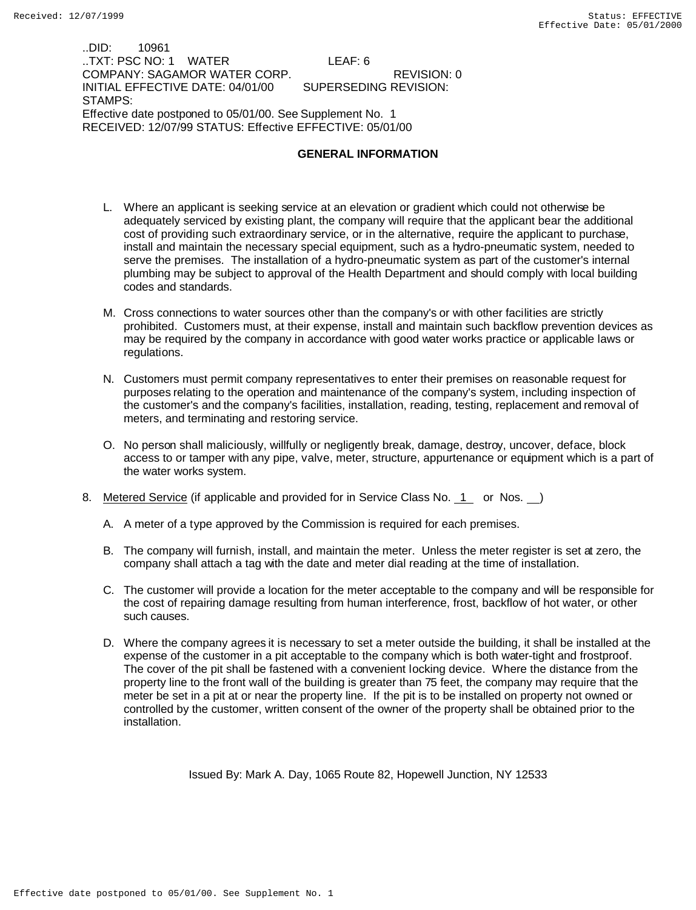..DID: 10961 ..TXT: PSC NO: 1 WATER LEAF: 6 COMPANY: SAGAMOR WATER CORP. REVISION: 0 INITIAL EFFECTIVE DATE: 04/01/00 STAMPS: Effective date postponed to 05/01/00. See Supplement No. 1 RECEIVED: 12/07/99 STATUS: Effective EFFECTIVE: 05/01/00

### **GENERAL INFORMATION**

- L. Where an applicant is seeking service at an elevation or gradient which could not otherwise be adequately serviced by existing plant, the company will require that the applicant bear the additional cost of providing such extraordinary service, or in the alternative, require the applicant to purchase, install and maintain the necessary special equipment, such as a hydro-pneumatic system, needed to serve the premises. The installation of a hydro-pneumatic system as part of the customer's internal plumbing may be subject to approval of the Health Department and should comply with local building codes and standards.
- M. Cross connections to water sources other than the company's or with other facilities are strictly prohibited. Customers must, at their expense, install and maintain such backflow prevention devices as may be required by the company in accordance with good water works practice or applicable laws or regulations.
- N. Customers must permit company representatives to enter their premises on reasonable request for purposes relating to the operation and maintenance of the company's system, including inspection of the customer's and the company's facilities, installation, reading, testing, replacement and removal of meters, and terminating and restoring service.
- O. No person shall maliciously, willfully or negligently break, damage, destroy, uncover, deface, block access to or tamper with any pipe, valve, meter, structure, appurtenance or equipment which is a part of the water works system.
- 8. Metered Service (if applicable and provided for in Service Class No. 1 or Nos. )
	- A. A meter of a type approved by the Commission is required for each premises.
	- B. The company will furnish, install, and maintain the meter. Unless the meter register is set at zero, the company shall attach a tag with the date and meter dial reading at the time of installation.
	- C. The customer will provide a location for the meter acceptable to the company and will be responsible for the cost of repairing damage resulting from human interference, frost, backflow of hot water, or other such causes.
	- D. Where the company agrees it is necessary to set a meter outside the building, it shall be installed at the expense of the customer in a pit acceptable to the company which is both water-tight and frostproof. The cover of the pit shall be fastened with a convenient locking device. Where the distance from the property line to the front wall of the building is greater than 75 feet, the company may require that the meter be set in a pit at or near the property line. If the pit is to be installed on property not owned or controlled by the customer, written consent of the owner of the property shall be obtained prior to the installation.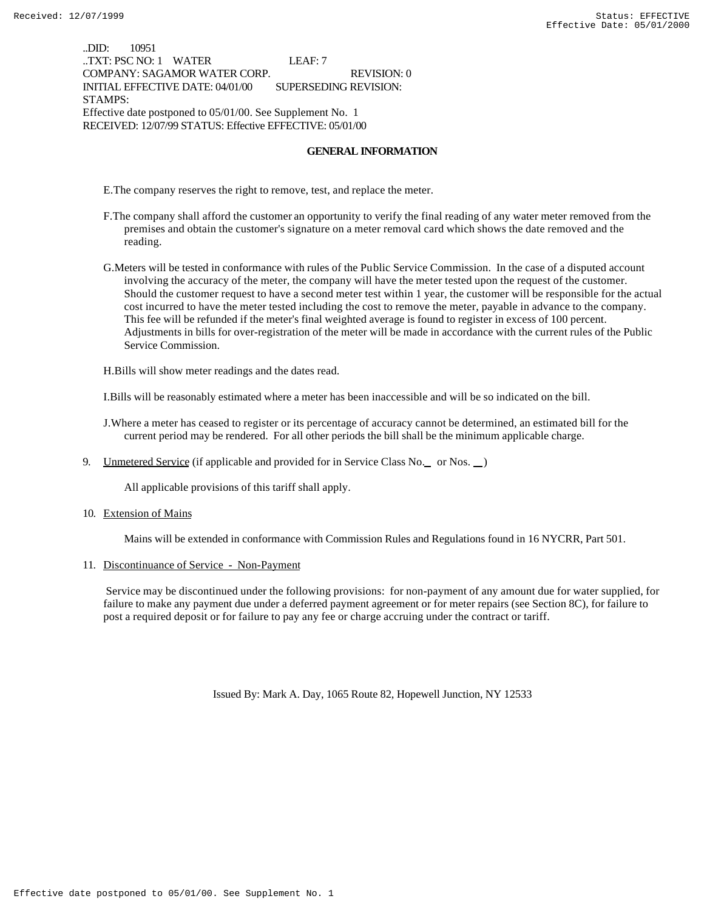..DID: 10951 ..TXT: PSC NO: 1 WATER LEAF: 7 COMPANY: SAGAMOR WATER CORP. REVISION: 0 INITIAL EFFECTIVE DATE: 04/01/00 SUPERSEDING REVISION: STAMPS: Effective date postponed to 05/01/00. See Supplement No. 1 RECEIVED: 12/07/99 STATUS: Effective EFFECTIVE: 05/01/00

### **GENERAL INFORMATION**

E.The company reserves the right to remove, test, and replace the meter.

- F.The company shall afford the customer an opportunity to verify the final reading of any water meter removed from the premises and obtain the customer's signature on a meter removal card which shows the date removed and the reading.
- G.Meters will be tested in conformance with rules of the Public Service Commission. In the case of a disputed account involving the accuracy of the meter, the company will have the meter tested upon the request of the customer. Should the customer request to have a second meter test within 1 year, the customer will be responsible for the actual cost incurred to have the meter tested including the cost to remove the meter, payable in advance to the company. This fee will be refunded if the meter's final weighted average is found to register in excess of 100 percent. Adjustments in bills for over-registration of the meter will be made in accordance with the current rules of the Public Service Commission.

H.Bills will show meter readings and the dates read.

I.Bills will be reasonably estimated where a meter has been inaccessible and will be so indicated on the bill.

- J.Where a meter has ceased to register or its percentage of accuracy cannot be determined, an estimated bill for the current period may be rendered. For all other periods the bill shall be the minimum applicable charge.
- 9. Unmetered Service (if applicable and provided for in Service Class No. or Nos. )

All applicable provisions of this tariff shall apply.

10. Extension of Mains

Mains will be extended in conformance with Commission Rules and Regulations found in 16 NYCRR, Part 501.

11. Discontinuance of Service - Non-Payment

 Service may be discontinued under the following provisions: for non-payment of any amount due for water supplied, for failure to make any payment due under a deferred payment agreement or for meter repairs (see Section 8C), for failure to post a required deposit or for failure to pay any fee or charge accruing under the contract or tariff.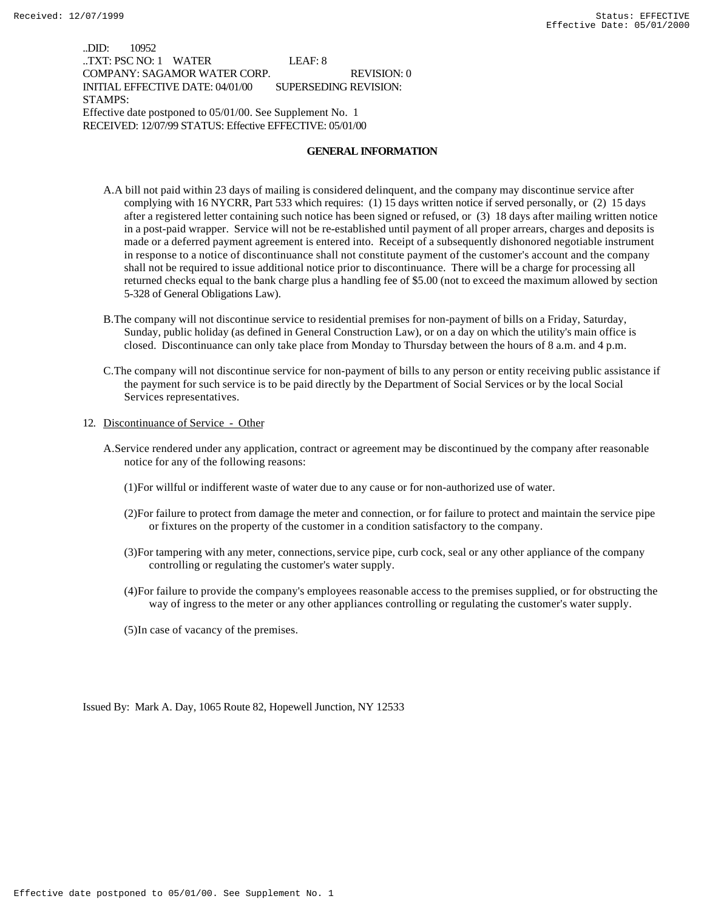..DID: 10952 ..TXT: PSC NO: 1 WATER LEAF: 8 COMPANY: SAGAMOR WATER CORP. REVISION: 0 INITIAL EFFECTIVE DATE: 04/01/00 SUPERSEDING REVISION: STAMPS: Effective date postponed to 05/01/00. See Supplement No. 1 RECEIVED: 12/07/99 STATUS: Effective EFFECTIVE: 05/01/00

### **GENERAL INFORMATION**

- A.A bill not paid within 23 days of mailing is considered delinquent, and the company may discontinue service after complying with 16 NYCRR, Part 533 which requires: (1) 15 days written notice if served personally, or (2) 15 days after a registered letter containing such notice has been signed or refused, or (3) 18 days after mailing written notice in a post-paid wrapper. Service will not be re-established until payment of all proper arrears, charges and deposits is made or a deferred payment agreement is entered into. Receipt of a subsequently dishonored negotiable instrument in response to a notice of discontinuance shall not constitute payment of the customer's account and the company shall not be required to issue additional notice prior to discontinuance. There will be a charge for processing all returned checks equal to the bank charge plus a handling fee of \$5.00 (not to exceed the maximum allowed by section 5-328 of General Obligations Law).
- B.The company will not discontinue service to residential premises for non-payment of bills on a Friday, Saturday, Sunday, public holiday (as defined in General Construction Law), or on a day on which the utility's main office is closed. Discontinuance can only take place from Monday to Thursday between the hours of 8 a.m. and 4 p.m.
- C.The company will not discontinue service for non-payment of bills to any person or entity receiving public assistance if the payment for such service is to be paid directly by the Department of Social Services or by the local Social Services representatives.
- 12. Discontinuance of Service Other
	- A.Service rendered under any application, contract or agreement may be discontinued by the company after reasonable notice for any of the following reasons:
		- (1)For willful or indifferent waste of water due to any cause or for non-authorized use of water.
		- (2)For failure to protect from damage the meter and connection, or for failure to protect and maintain the service pipe or fixtures on the property of the customer in a condition satisfactory to the company.
		- (3)For tampering with any meter, connections, service pipe, curb cock, seal or any other appliance of the company controlling or regulating the customer's water supply.
		- (4)For failure to provide the company's employees reasonable access to the premises supplied, or for obstructing the way of ingress to the meter or any other appliances controlling or regulating the customer's water supply.
		- (5)In case of vacancy of the premises.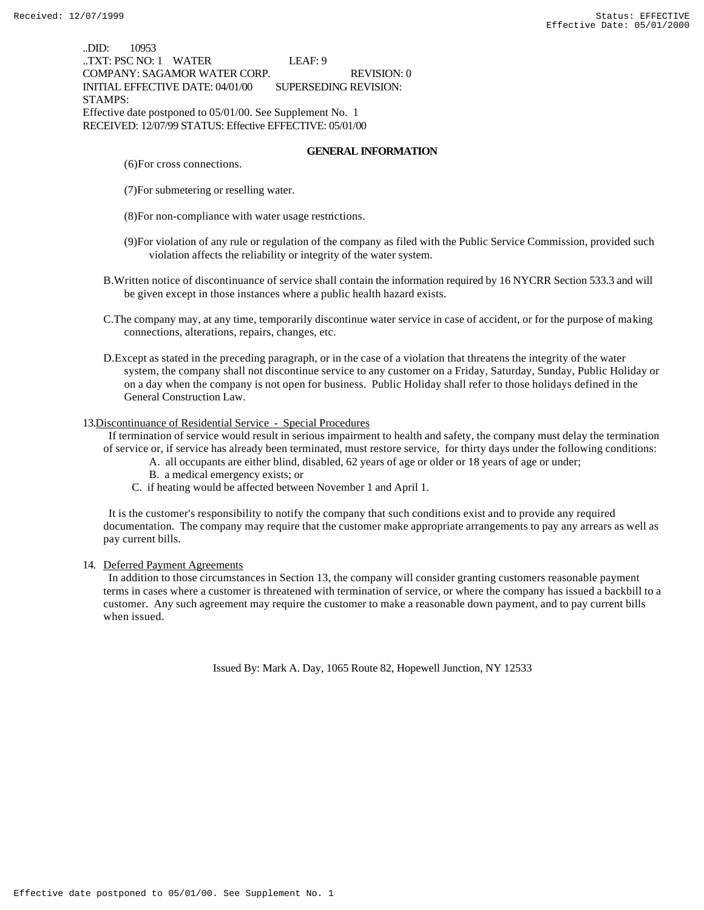..DID: 10953 ..TXT: PSC NO: 1 WATER LEAF: 9 COMPANY: SAGAMOR WATER CORP. REVISION: 0 INITIAL EFFECTIVE DATE: 04/01/00 SUPERSEDING REVISION: STAMPS: Effective date postponed to 05/01/00. See Supplement No. 1 RECEIVED: 12/07/99 STATUS: Effective EFFECTIVE: 05/01/00

### **GENERAL INFORMATION**

- (6)For cross connections.
- (7)For submetering or reselling water.
- (8)For non-compliance with water usage restrictions.
- (9)For violation of any rule or regulation of the company as filed with the Public Service Commission, provided such violation affects the reliability or integrity of the water system.
- B.Written notice of discontinuance of service shall contain the information required by 16 NYCRR Section 533.3 and will be given except in those instances where a public health hazard exists.
- C.The company may, at any time, temporarily discontinue water service in case of accident, or for the purpose of making connections, alterations, repairs, changes, etc.
- D.Except as stated in the preceding paragraph, or in the case of a violation that threatens the integrity of the water system, the company shall not discontinue service to any customer on a Friday, Saturday, Sunday, Public Holiday or on a day when the company is not open for business. Public Holiday shall refer to those holidays defined in the General Construction Law.

### 13.Discontinuance of Residential Service - Special Procedures

 If termination of service would result in serious impairment to health and safety, the company must delay the termination of service or, if service has already been terminated, must restore service, for thirty days under the following conditions:

- A. all occupants are either blind, disabled, 62 years of age or older or 18 years of age or under;
- B. a medical emergency exists; or
- C. if heating would be affected between November 1 and April 1.

 It is the customer's responsibility to notify the company that such conditions exist and to provide any required documentation. The company may require that the customer make appropriate arrangements to pay any arrears as well as pay current bills.

#### 14. Deferred Payment Agreements

 In addition to those circumstances in Section 13, the company will consider granting customers reasonable payment terms in cases where a customer is threatened with termination of service, or where the company has issued a backbill to a customer. Any such agreement may require the customer to make a reasonable down payment, and to pay current bills when issued.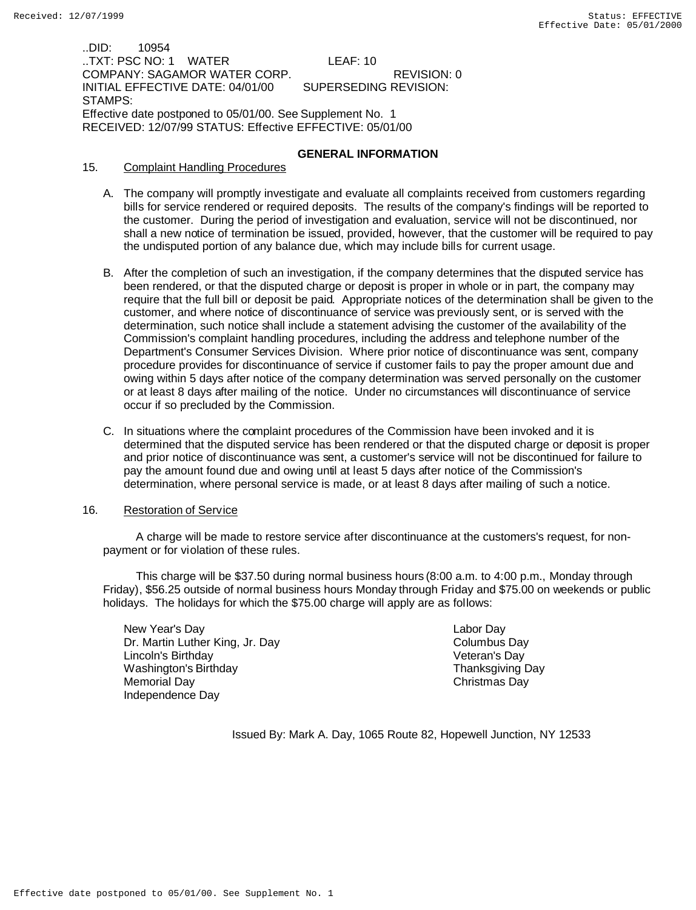..DID: 10954 ..TXT: PSC NO: 1 WATER LEAF: 10 COMPANY: SAGAMOR WATER CORP. REVISION: 0 INITIAL EFFECTIVE DATE: 04/01/00 STAMPS: Effective date postponed to 05/01/00. See Supplement No. 1 RECEIVED: 12/07/99 STATUS: Effective EFFECTIVE: 05/01/00

## **GENERAL INFORMATION**

- 15. Complaint Handling Procedures
	- A. The company will promptly investigate and evaluate all complaints received from customers regarding bills for service rendered or required deposits. The results of the company's findings will be reported to the customer. During the period of investigation and evaluation, service will not be discontinued, nor shall a new notice of termination be issued, provided, however, that the customer will be required to pay the undisputed portion of any balance due, which may include bills for current usage.
	- B. After the completion of such an investigation, if the company determines that the disputed service has been rendered, or that the disputed charge or deposit is proper in whole or in part, the company may require that the full bill or deposit be paid. Appropriate notices of the determination shall be given to the customer, and where notice of discontinuance of service was previously sent, or is served with the determination, such notice shall include a statement advising the customer of the availability of the Commission's complaint handling procedures, including the address and telephone number of the Department's Consumer Services Division. Where prior notice of discontinuance was sent, company procedure provides for discontinuance of service if customer fails to pay the proper amount due and owing within 5 days after notice of the company determination was served personally on the customer or at least 8 days after mailing of the notice. Under no circumstances will discontinuance of service occur if so precluded by the Commission.
	- C. In situations where the complaint procedures of the Commission have been invoked and it is determined that the disputed service has been rendered or that the disputed charge or deposit is proper and prior notice of discontinuance was sent, a customer's service will not be discontinued for failure to pay the amount found due and owing until at least 5 days after notice of the Commission's determination, where personal service is made, or at least 8 days after mailing of such a notice.

### 16. Restoration of Service

 A charge will be made to restore service after discontinuance at the customers's request, for nonpayment or for violation of these rules.

 This charge will be \$37.50 during normal business hours (8:00 a.m. to 4:00 p.m., Monday through Friday), \$56.25 outside of normal business hours Monday through Friday and \$75.00 on weekends or public holidays. The holidays for which the \$75.00 charge will apply are as follows:

New Year's Day **Labor Day** Labor Day Dr. Martin Luther King, Jr. Day Columbus Day Lincoln's Birthday Veteran's Day Washington's Birthday **Thanksgiving Day** Thanksgiving Day Memorial Day **Christmas Day** Christmas Day Independence Day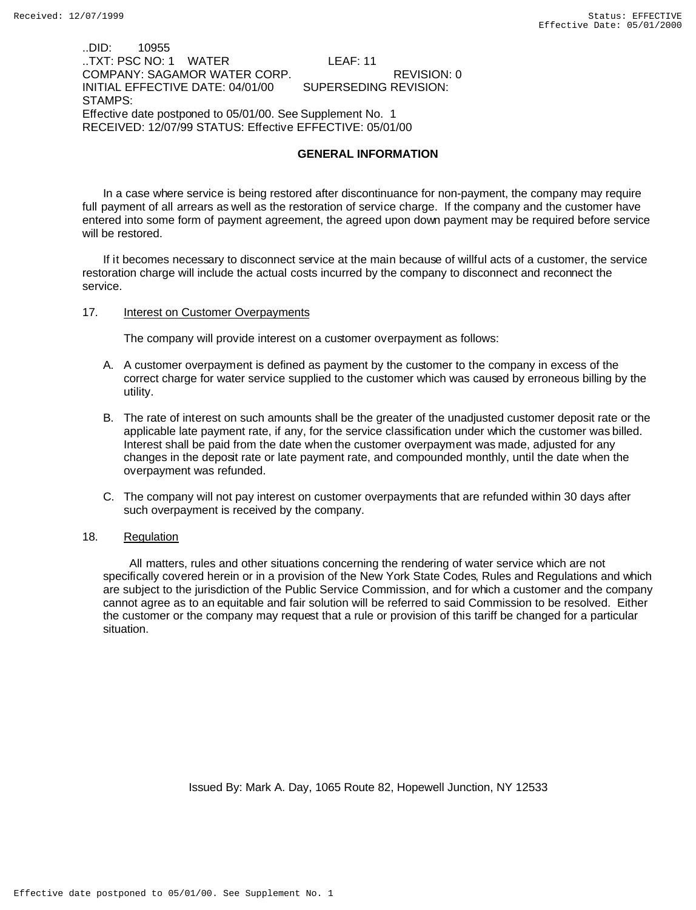..DID: 10955 ..TXT: PSC NO: 1 WATER LEAF: 11 COMPANY: SAGAMOR WATER CORP. REVISION: 0 INITIAL EFFECTIVE DATE: 04/01/00 STAMPS: Effective date postponed to 05/01/00. See Supplement No. 1 RECEIVED: 12/07/99 STATUS: Effective EFFECTIVE: 05/01/00

## **GENERAL INFORMATION**

In a case where service is being restored after discontinuance for non-payment, the company may require full payment of all arrears as well as the restoration of service charge. If the company and the customer have entered into some form of payment agreement, the agreed upon down payment may be required before service will be restored.

If it becomes necessary to disconnect service at the main because of willful acts of a customer, the service restoration charge will include the actual costs incurred by the company to disconnect and reconnect the service.

### 17. **Interest on Customer Overpayments**

The company will provide interest on a customer overpayment as follows:

- A. A customer overpayment is defined as payment by the customer to the company in excess of the correct charge for water service supplied to the customer which was caused by erroneous billing by the utility.
- B. The rate of interest on such amounts shall be the greater of the unadjusted customer deposit rate or the applicable late payment rate, if any, for the service classification under which the customer was billed. Interest shall be paid from the date when the customer overpayment was made, adjusted for any changes in the deposit rate or late payment rate, and compounded monthly, until the date when the overpayment was refunded.
- C. The company will not pay interest on customer overpayments that are refunded within 30 days after such overpayment is received by the company.

## 18. Regulation

 All matters, rules and other situations concerning the rendering of water service which are not specifically covered herein or in a provision of the New York State Codes, Rules and Regulations and which are subject to the jurisdiction of the Public Service Commission, and for which a customer and the company cannot agree as to an equitable and fair solution will be referred to said Commission to be resolved. Either the customer or the company may request that a rule or provision of this tariff be changed for a particular situation.